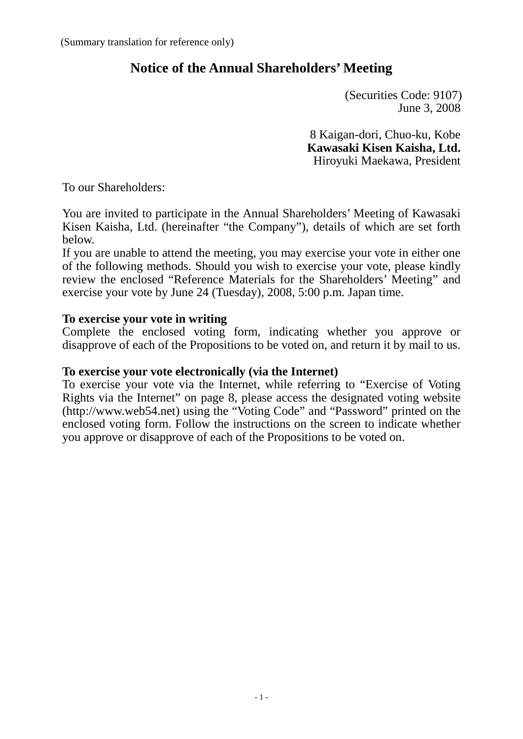# **Notice of the Annual Shareholders' Meeting**

 (Securities Code: 9107) June 3, 2008

8 Kaigan-dori, Chuo-ku, Kobe **Kawasaki Kisen Kaisha, Ltd.** Hiroyuki Maekawa, President

To our Shareholders:

You are invited to participate in the Annual Shareholders' Meeting of Kawasaki Kisen Kaisha, Ltd. (hereinafter "the Company"), details of which are set forth below.

If you are unable to attend the meeting, you may exercise your vote in either one of the following methods. Should you wish to exercise your vote, please kindly review the enclosed "Reference Materials for the Shareholders' Meeting" and exercise your vote by June 24 (Tuesday), 2008, 5:00 p.m. Japan time.

### **To exercise your vote in writing**

Complete the enclosed voting form, indicating whether you approve or disapprove of each of the Propositions to be voted on, and return it by mail to us.

### **To exercise your vote electronically (via the Internet)**

To exercise your vote via the Internet, while referring to "Exercise of Voting Rights via the Internet" on page 8, please access the designated voting website (http://www.web54.net) using the "Voting Code" and "Password" printed on the enclosed voting form. Follow the instructions on the screen to indicate whether you approve or disapprove of each of the Propositions to be voted on.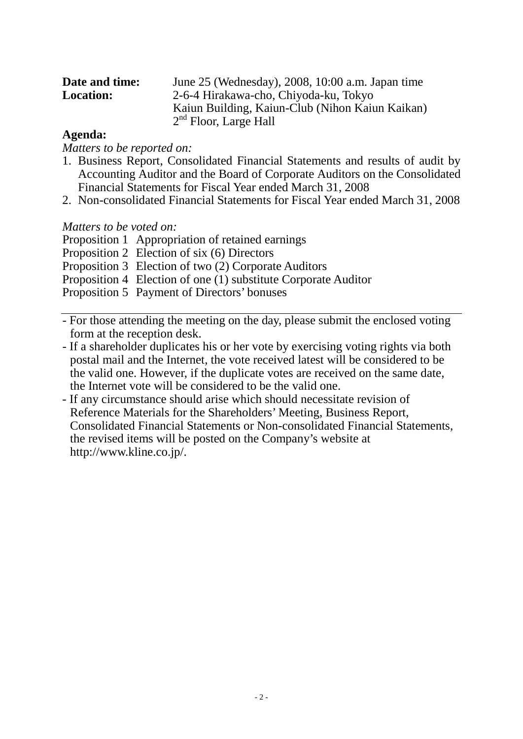| Date and time:   | June 25 (Wednesday), 2008, 10:00 a.m. Japan time |
|------------------|--------------------------------------------------|
| <b>Location:</b> | 2-6-4 Hirakawa-cho, Chiyoda-ku, Tokyo            |
|                  | Kaiun Building, Kaiun-Club (Nihon Kaiun Kaikan)  |
|                  | $2nd$ Floor, Large Hall                          |

### **Agenda:**

*Matters to be reported on:*

- 1. Business Report, Consolidated Financial Statements and results of audit by Accounting Auditor and the Board of Corporate Auditors on the Consolidated Financial Statements for Fiscal Year ended March 31, 2008
- 2. Non-consolidated Financial Statements for Fiscal Year ended March 31, 2008

### *Matters to be voted on:*

Proposition 1 Appropriation of retained earnings

Proposition 2 Election of six (6) Directors

Proposition 3 Election of two (2) Corporate Auditors

Proposition 4 Election of one (1) substitute Corporate Auditor

Proposition 5 Payment of Directors' bonuses

- For those attending the meeting on the day, please submit the enclosed voting form at the reception desk.
- If a shareholder duplicates his or her vote by exercising voting rights via both postal mail and the Internet, the vote received latest will be considered to be the valid one. However, if the duplicate votes are received on the same date, the Internet vote will be considered to be the valid one.
- If any circumstance should arise which should necessitate revision of Reference Materials for the Shareholders' Meeting, Business Report, Consolidated Financial Statements or Non-consolidated Financial Statements, the revised items will be posted on the Company's website at http://www.kline.co.jp/.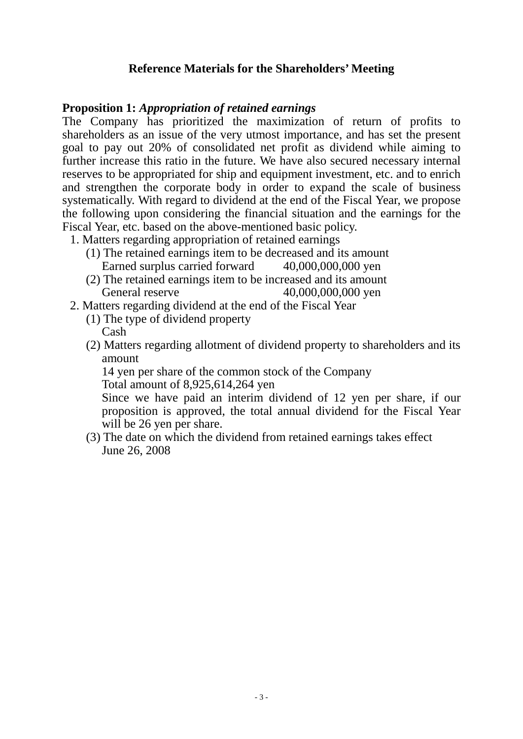## **Reference Materials for the Shareholders' Meeting**

### **Proposition 1:** *Appropriation of retained earnings*

The Company has prioritized the maximization of return of profits to shareholders as an issue of the very utmost importance, and has set the present goal to pay out 20% of consolidated net profit as dividend while aiming to further increase this ratio in the future. We have also secured necessary internal reserves to be appropriated for ship and equipment investment, etc. and to enrich and strengthen the corporate body in order to expand the scale of business systematically. With regard to dividend at the end of the Fiscal Year, we propose the following upon considering the financial situation and the earnings for the Fiscal Year, etc. based on the above-mentioned basic policy.

- 1. Matters regarding appropriation of retained earnings
	- (1) The retained earnings item to be decreased and its amount Earned surplus carried forward 40,000,000,000 yen
	- (2) The retained earnings item to be increased and its amount General reserve 40,000,000,000 yen
- 2. Matters regarding dividend at the end of the Fiscal Year
	- (1) The type of dividend property

Cash

(2) Matters regarding allotment of dividend property to shareholders and its amount

14 yen per share of the common stock of the Company

Total amount of 8,925,614,264 yen

Since we have paid an interim dividend of 12 yen per share, if our proposition is approved, the total annual dividend for the Fiscal Year will be 26 yen per share.

(3) The date on which the dividend from retained earnings takes effect June 26, 2008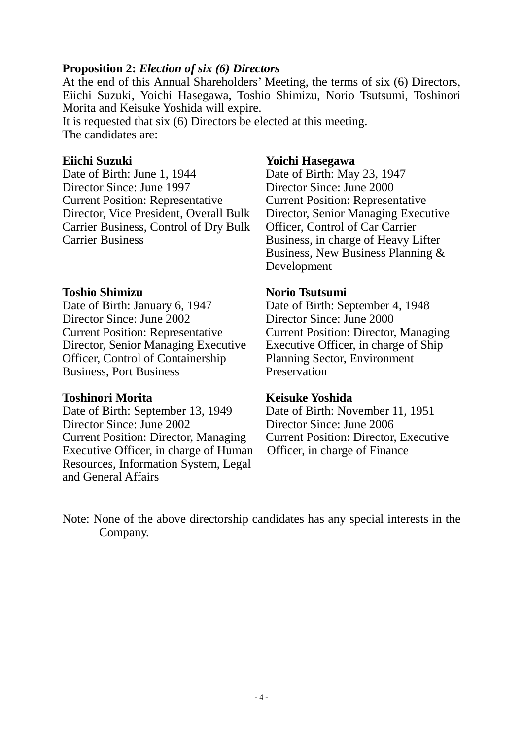### **Proposition 2:** *Election of six (6) Directors*

At the end of this Annual Shareholders' Meeting, the terms of six (6) Directors, Eiichi Suzuki, Yoichi Hasegawa, Toshio Shimizu, Norio Tsutsumi, Toshinori Morita and Keisuke Yoshida will expire.

It is requested that six (6) Directors be elected at this meeting. The candidates are:

Date of Birth: June 1, 1944<br>Director Since: June 1997<br>Director Since: June 2000 Director Since: June 1997 Current Position: Representative Director, Vice President, Overall Bulk Carrier Business, Control of Dry Bulk Carrier Business

**Toshio Shimizu Norio Tsutsumi**<br>Date of Birth: January 6, 1947 **Date of Birth: Se** Director Since: June 2002 Director Since: June 2000 Current Position: Representative Director, Senior Managing Executive Officer, Control of Containership Business, Port Business

**Toshinori Morita**<br> **Keisuke Yoshida**<br> **Date of Birth: September 13, 1949**<br> **Date of Birth: November 11, 1951** Date of Birth: September 13, 1949 Director Since: June 2002 Director Since: June 2006 Current Position: Director, Managing Executive Officer, in charge of Human Resources, Information System, Legal and General Affairs

### **Eiichi Suzuki Yoichi Hasegawa**

Current Position: Representative Director, Senior Managing Executive Officer, Control of Car Carrier Business, in charge of Heavy Lifter Business, New Business Planning & Development

Date of Birth: September 4, 1948 Current Position: Director, Managing Executive Officer, in charge of Ship Planning Sector, Environment Preservation

Current Position: Director, Executive Officer, in charge of Finance

Note: None of the above directorship candidates has any special interests in the Company.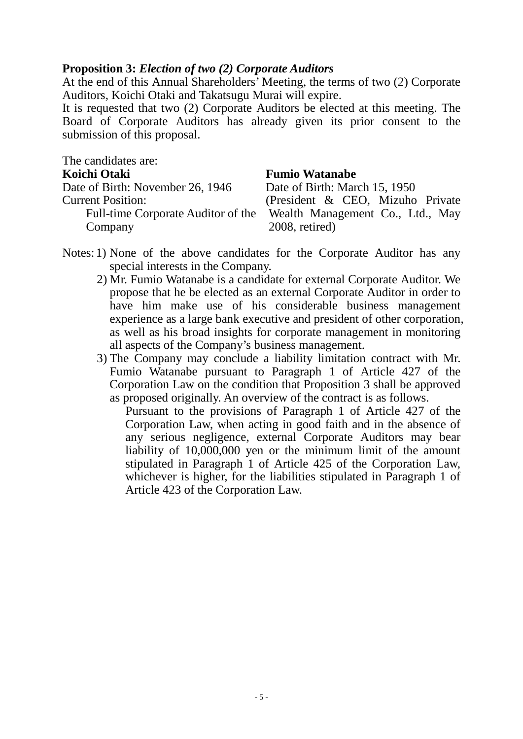### **Proposition 3:** *Election of two (2) Corporate Auditors*

At the end of this Annual Shareholders' Meeting, the terms of two (2) Corporate Auditors, Koichi Otaki and Takatsugu Murai will expire.

It is requested that two (2) Corporate Auditors be elected at this meeting. The Board of Corporate Auditors has already given its prior consent to the submission of this proposal.

| The candidates are:              |                                                                     |
|----------------------------------|---------------------------------------------------------------------|
| Koichi Otaki                     | <b>Fumio Watanabe</b>                                               |
| Date of Birth: November 26, 1946 | Date of Birth: March 15, 1950                                       |
| <b>Current Position:</b>         | (President & CEO, Mizuho Private)                                   |
|                                  | Full-time Corporate Auditor of the Wealth Management Co., Ltd., May |
| Company                          | $2008$ , retired)                                                   |

- Notes: 1) None of the above candidates for the Corporate Auditor has any special interests in the Company.
	- 2) Mr. Fumio Watanabe is a candidate for external Corporate Auditor. We propose that he be elected as an external Corporate Auditor in order to have him make use of his considerable business management experience as a large bank executive and president of other corporation, as well as his broad insights for corporate management in monitoring all aspects of the Company's business management.
	- 3) The Company may conclude a liability limitation contract with Mr. Fumio Watanabe pursuant to Paragraph 1 of Article 427 of the Corporation Law on the condition that Proposition 3 shall be approved as proposed originally. An overview of the contract is as follows.

Pursuant to the provisions of Paragraph 1 of Article 427 of the Corporation Law, when acting in good faith and in the absence of any serious negligence, external Corporate Auditors may bear liability of 10,000,000 yen or the minimum limit of the amount stipulated in Paragraph 1 of Article 425 of the Corporation Law, whichever is higher, for the liabilities stipulated in Paragraph 1 of Article 423 of the Corporation Law.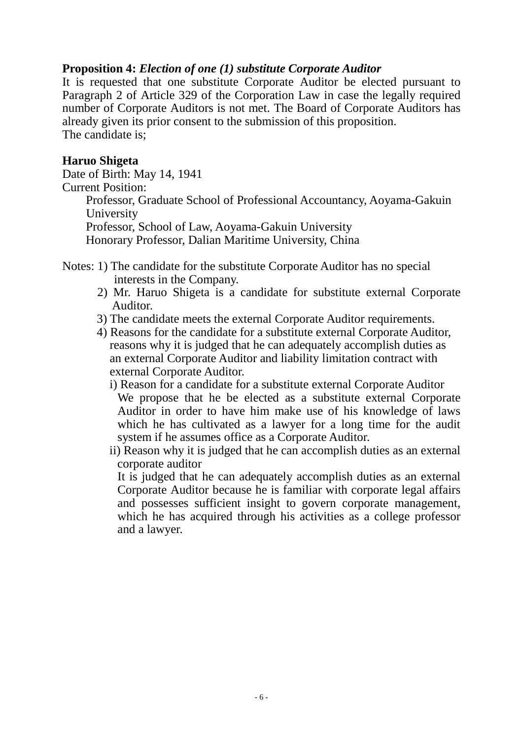### **Proposition 4:** *Election of one (1) substitute Corporate Auditor*

It is requested that one substitute Corporate Auditor be elected pursuant to Paragraph 2 of Article 329 of the Corporation Law in case the legally required number of Corporate Auditors is not met. The Board of Corporate Auditors has already given its prior consent to the submission of this proposition. The candidate is;

### **Haruo Shigeta**

Date of Birth: May 14, 1941 Current Position: Professor, Graduate School of Professional Accountancy, Aoyama-Gakuin University Professor, School of Law, Aoyama-Gakuin University Honorary Professor, Dalian Maritime University, China

Notes: 1) The candidate for the substitute Corporate Auditor has no special interests in the Company.

- 2) Mr. Haruo Shigeta is a candidate for substitute external Corporate Auditor.
- 3) The candidate meets the external Corporate Auditor requirements.
- 4) Reasons for the candidate for a substitute external Corporate Auditor, reasons why it is judged that he can adequately accomplish duties as an external Corporate Auditor and liability limitation contract with external Corporate Auditor.
	- i) Reason for a candidate for a substitute external Corporate Auditor We propose that he be elected as a substitute external Corporate Auditor in order to have him make use of his knowledge of laws which he has cultivated as a lawyer for a long time for the audit system if he assumes office as a Corporate Auditor.
	- ii) Reason why it is judged that he can accomplish duties as an external corporate auditor

It is judged that he can adequately accomplish duties as an external Corporate Auditor because he is familiar with corporate legal affairs and possesses sufficient insight to govern corporate management, which he has acquired through his activities as a college professor and a lawyer.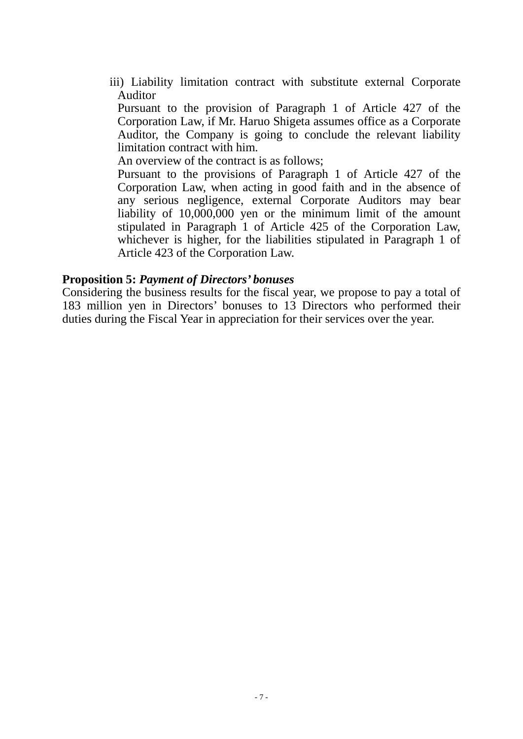iii) Liability limitation contract with substitute external Corporate Auditor

Pursuant to the provision of Paragraph 1 of Article 427 of the Corporation Law, if Mr. Haruo Shigeta assumes office as a Corporate Auditor, the Company is going to conclude the relevant liability limitation contract with him.

An overview of the contract is as follows;

Pursuant to the provisions of Paragraph 1 of Article 427 of the Corporation Law, when acting in good faith and in the absence of any serious negligence, external Corporate Auditors may bear liability of 10,000,000 yen or the minimum limit of the amount stipulated in Paragraph 1 of Article 425 of the Corporation Law, whichever is higher, for the liabilities stipulated in Paragraph 1 of Article 423 of the Corporation Law.

### **Proposition 5:** *Payment of Directors' bonuses*

Considering the business results for the fiscal year, we propose to pay a total of 183 million yen in Directors' bonuses to 13 Directors who performed their duties during the Fiscal Year in appreciation for their services over the year.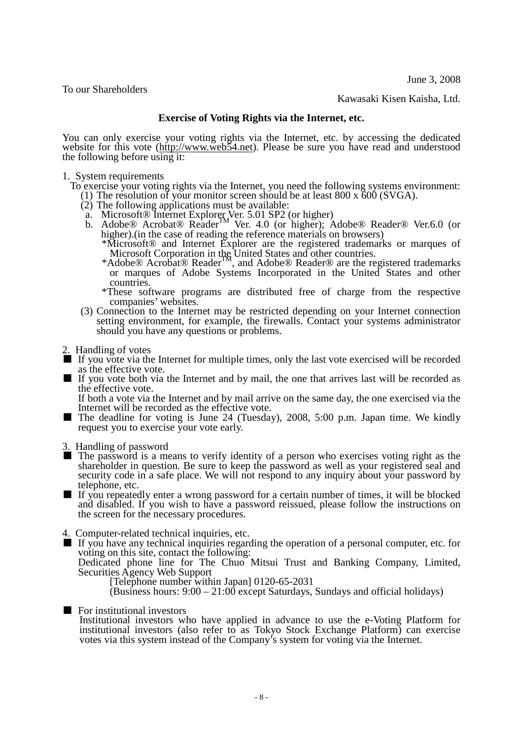June 3, 2008

To our Shareholders

Kawasaki Kisen Kaisha, Ltd.

### **Exercise of Voting Rights via the Internet, etc.**

You can only exercise your voting rights via the Internet, etc. by accessing the dedicated website for this vote [\(http://www.web54.net\)](http://www.web54.net/). Please be sure you have read and understood the following before using it:

1. System requirements

To exercise your voting rights via the Internet, you need the following systems environment:

- (1) The resolution of your monitor screen should be at least 800 x 600 (SVGA).
- $(2)$  The following applications must be available:
	- a. Microsoft® Internet Explorer Ver. 5.01 SP2 (or higher) b. Adobe<sup>®</sup> Acrobat<sup>®</sup> Reader<sup>TM</sup> Ver. 4.0 (or higher); Adobe® Reader® Ver.6.0 (or higher).(in the case of reading the reference materials on browsers)
		- \*Microsoft® and Internet Explorer are the registered trademarks or marques of Microsoft Corporation in the United States and other countries.
		- \*Adobe® Acrobat® ReaderTM, and Adobe® Reader® are the registered trademarks or marques of Adobe Systems Incorporated in the United States and other countries.
		- \*These software programs are distributed free of charge from the respective companies' websites.
- (3) Connection to the Internet may be restricted depending on your Internet connection setting environment, for example, the firewalls. Contact your systems administrator should you have any questions or problems.
- 2. Handling of votes
- If you vote via the Internet for multiple times, only the last vote exercised will be recorded as the effective vote.
- If you vote both via the Internet and by mail, the one that arrives last will be recorded as the effective vote.

If both a vote via the Internet and by mail arrive on the same day, the one exercised via the Internet will be recorded as the effective vote.

- The deadline for voting is June 24 (Tuesday), 2008, 5:00 p.m. Japan time. We kindly request you to exercise your vote early.
- 
- 3. Handling of password<br>■ The password is a means to verify identity of a person who exercises voting right as the shareholder in question. Be sure to keep the password as well as your registered seal and security code in a safe place. We will not respond to any inquiry about your password by telephone, etc.
- If you repeatedly enter a wrong password for a certain number of times, it will be blocked and disabled. If you wish to have a password reissued, please follow the instructions on the screen for the necessary procedures.
- 4. Computer-related technical inquiries, etc.

■ If you have any technical inquiries regarding the operation of a personal computer, etc. for voting on this site, contact the following:

Dedicated phone line for The Chuo Mitsui Trust and Banking Company, Limited, Securities Agency Web Support<br>[Telephone number within Japan] 0120-65-2031

 $(Business hours: 9:00-21:00 except Saturdays, Sundays and official holidays)$ 

■ For institutional investors

Institutional investors who have applied in advance to use the e-Voting Platform for institutional investors (also refer to as Tokyo Stock Exchange Platform) can exercise votes via this system instead of the Company's system for voting via the Internet.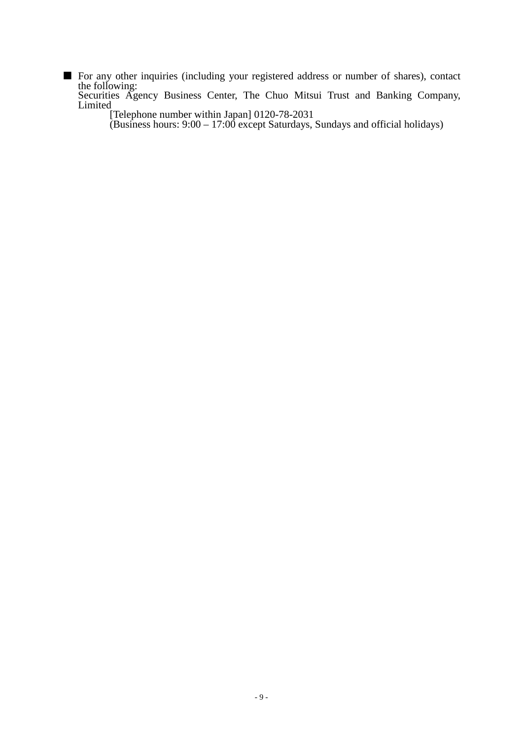- For any other inquiries (including your registered address or number of shares), contact the following:
	- Securities Agency Business Center, The Chuo Mitsui Trust and Banking Company, Limited

[Telephone number within Japan] 0120-78-2031

(Business hours: 9:00 – 17:00 except Saturdays, Sundays and official holidays)